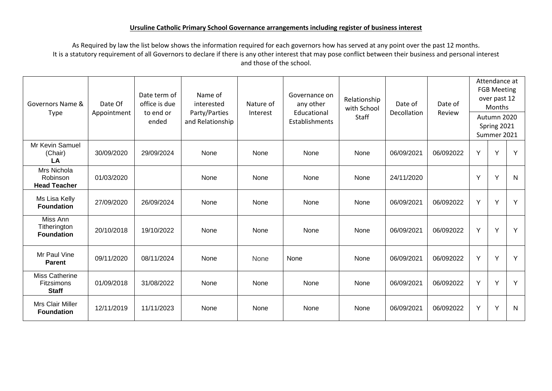## **Ursuline Catholic Primary School Governance arrangements including register of business interest**

As Required by law the list below shows the information required for each governors how has served at any point over the past 12 months. It is a statutory requirement of all Governors to declare if there is any other interest that may pose conflict between their business and personal interest and those of the school.

| Governors Name &<br>Type                            | Date Of<br>Appointment | Date term of<br>office is due<br>to end or<br>ended | Name of<br>interested<br>Party/Parties<br>and Relationship | Nature of<br>Interest | Governance on<br>any other<br>Educational<br>Establishments | Relationship<br>with School<br>Staff | Date of<br>Decollation | Date of<br>Review | Attendance at<br><b>FGB Meeting</b><br>over past 12<br>Months<br>Autumn 2020<br>Spring 2021<br>Summer 2021 |   |              |
|-----------------------------------------------------|------------------------|-----------------------------------------------------|------------------------------------------------------------|-----------------------|-------------------------------------------------------------|--------------------------------------|------------------------|-------------------|------------------------------------------------------------------------------------------------------------|---|--------------|
| Mr Kevin Samuel<br>(Chair)<br>LA                    | 30/09/2020             | 29/09/2024                                          | None                                                       | None                  | None                                                        | None                                 | 06/09/2021             | 06/092022         | Y                                                                                                          | Y | Y            |
| Mrs Nichola<br>Robinson<br><b>Head Teacher</b>      | 01/03/2020             |                                                     | None                                                       | None                  | None                                                        | None                                 | 24/11/2020             |                   | Y                                                                                                          | Y | $\mathsf{N}$ |
| Ms Lisa Kelly<br><b>Foundation</b>                  | 27/09/2020             | 26/09/2024                                          | None                                                       | None                  | None                                                        | None                                 | 06/09/2021             | 06/092022         | Y                                                                                                          | Y | Y            |
| Miss Ann<br>Titherington<br><b>Foundation</b>       | 20/10/2018             | 19/10/2022                                          | None                                                       | None                  | None                                                        | None                                 | 06/09/2021             | 06/092022         | Y                                                                                                          | Y | Y            |
| Mr Paul Vine<br><b>Parent</b>                       | 09/11/2020             | 08/11/2024                                          | None                                                       | None                  | None                                                        | None                                 | 06/09/2021             | 06/092022         | Y                                                                                                          | Y | Y            |
| Miss Catherine<br><b>Fitzsimons</b><br><b>Staff</b> | 01/09/2018             | 31/08/2022                                          | None                                                       | None                  | None                                                        | None                                 | 06/09/2021             | 06/092022         | Y                                                                                                          | Y | Y            |
| Mrs Clair Miller<br><b>Foundation</b>               | 12/11/2019             | 11/11/2023                                          | None                                                       | None                  | None                                                        | None                                 | 06/09/2021             | 06/092022         | Y                                                                                                          | Y | N            |